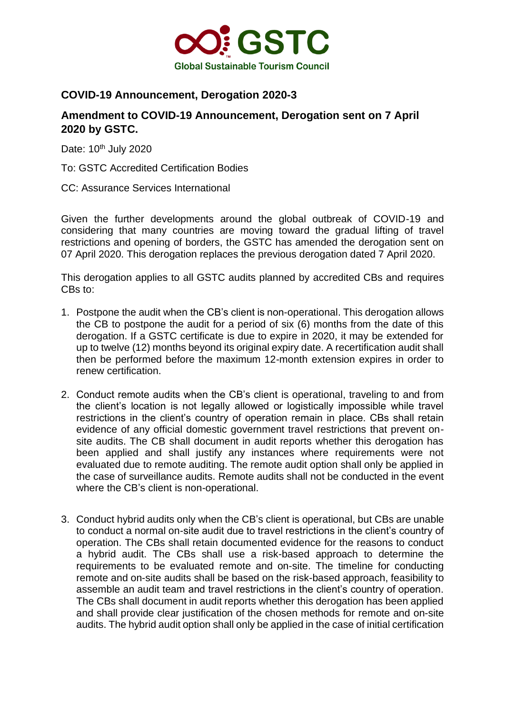

## **COVID-19 Announcement, Derogation 2020-3**

## **Amendment to COVID-19 Announcement, Derogation sent on 7 April 2020 by GSTC.**

Date: 10<sup>th</sup> July 2020

To: GSTC Accredited Certification Bodies

CC: Assurance Services International

Given the further developments around the global outbreak of COVID-19 and considering that many countries are moving toward the gradual lifting of travel restrictions and opening of borders, the GSTC has amended the derogation sent on 07 April 2020. This derogation replaces the previous derogation dated 7 April 2020.

This derogation applies to all GSTC audits planned by accredited CBs and requires CBs to:

- 1. Postpone the audit when the CB's client is non-operational. This derogation allows the CB to postpone the audit for a period of six (6) months from the date of this derogation. If a GSTC certificate is due to expire in 2020, it may be extended for up to twelve (12) months beyond its original expiry date. A recertification audit shall then be performed before the maximum 12-month extension expires in order to renew certification.
- 2. Conduct remote audits when the CB's client is operational, traveling to and from the client's location is not legally allowed or logistically impossible while travel restrictions in the client's country of operation remain in place. CBs shall retain evidence of any official domestic government travel restrictions that prevent onsite audits. The CB shall document in audit reports whether this derogation has been applied and shall justify any instances where requirements were not evaluated due to remote auditing. The remote audit option shall only be applied in the case of surveillance audits. Remote audits shall not be conducted in the event where the CB's client is non-operational.
- 3. Conduct hybrid audits only when the CB's client is operational, but CBs are unable to conduct a normal on-site audit due to travel restrictions in the client's country of operation. The CBs shall retain documented evidence for the reasons to conduct a hybrid audit. The CBs shall use a risk-based approach to determine the requirements to be evaluated remote and on-site. The timeline for conducting remote and on-site audits shall be based on the risk-based approach, feasibility to assemble an audit team and travel restrictions in the client's country of operation. The CBs shall document in audit reports whether this derogation has been applied and shall provide clear justification of the chosen methods for remote and on-site audits. The hybrid audit option shall only be applied in the case of initial certification